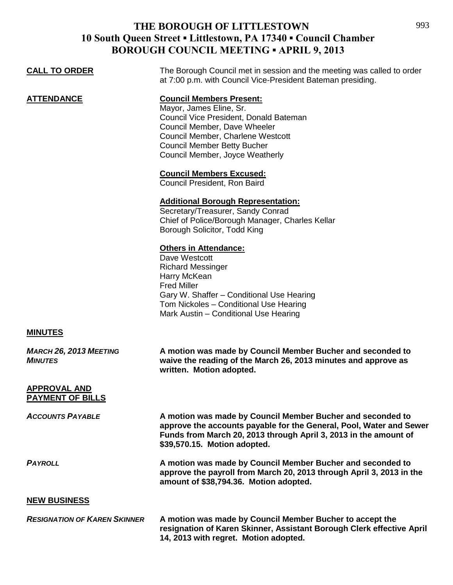# **THE BOROUGH OF LITTLESTOWN 10 South Queen Street ▪ Littlestown, PA 17340 ▪ Council Chamber BOROUGH COUNCIL MEETING ▪ APRIL 9, 2013**

| <b>CALL TO ORDER</b>                            | The Borough Council met in session and the meeting was called to order<br>at 7:00 p.m. with Council Vice-President Bateman presiding.                                                                                                              |
|-------------------------------------------------|----------------------------------------------------------------------------------------------------------------------------------------------------------------------------------------------------------------------------------------------------|
| <b>ATTENDANCE</b>                               | <b>Council Members Present:</b><br>Mayor, James Eline, Sr.<br>Council Vice President, Donald Bateman<br>Council Member, Dave Wheeler<br>Council Member, Charlene Westcott<br><b>Council Member Betty Bucher</b><br>Council Member, Joyce Weatherly |
|                                                 | <b>Council Members Excused:</b><br>Council President, Ron Baird                                                                                                                                                                                    |
|                                                 | <b>Additional Borough Representation:</b><br>Secretary/Treasurer, Sandy Conrad<br>Chief of Police/Borough Manager, Charles Kellar<br>Borough Solicitor, Todd King                                                                                  |
|                                                 | <b>Others in Attendance:</b><br>Dave Westcott<br><b>Richard Messinger</b><br>Harry McKean<br><b>Fred Miller</b><br>Gary W. Shaffer - Conditional Use Hearing<br>Tom Nickoles - Conditional Use Hearing<br>Mark Austin - Conditional Use Hearing    |
| <b>MINUTES</b>                                  |                                                                                                                                                                                                                                                    |
| <b>MARCH 26, 2013 MEETING</b><br><b>MINUTES</b> | A motion was made by Council Member Bucher and seconded to<br>waive the reading of the March 26, 2013 minutes and approve as<br>written. Motion adopted.                                                                                           |
| <b>APPROVAL AND</b><br><b>PAYMENT OF BILLS</b>  |                                                                                                                                                                                                                                                    |
| <b>ACCOUNTS PAYABLE</b>                         | A motion was made by Council Member Bucher and seconded to<br>approve the accounts payable for the General, Pool, Water and Sewer<br>Funds from March 20, 2013 through April 3, 2013 in the amount of<br>\$39,570.15. Motion adopted.              |
| <b>PAYROLL</b>                                  | A motion was made by Council Member Bucher and seconded to<br>approve the payroll from March 20, 2013 through April 3, 2013 in the<br>amount of \$38,794.36. Motion adopted.                                                                       |
| <b>NEW BUSINESS</b>                             |                                                                                                                                                                                                                                                    |
| <b>RESIGNATION OF KAREN SKINNER</b>             | A motion was made by Council Member Bucher to accept the<br>resignation of Karen Skinner, Assistant Borough Clerk effective April<br>14, 2013 with regret. Motion adopted.                                                                         |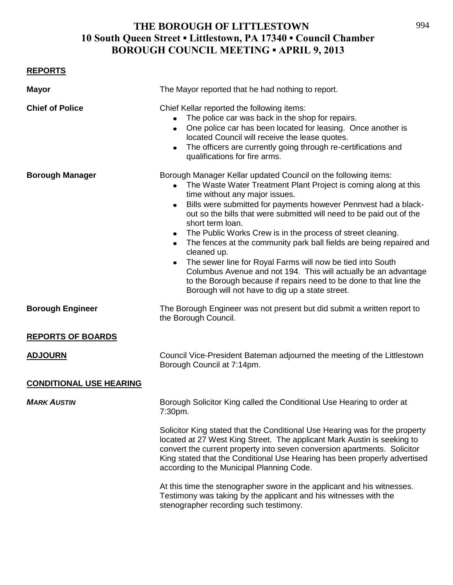## **THE BOROUGH OF LITTLESTOWN 10 South Queen Street ▪ Littlestown, PA 17340 ▪ Council Chamber BOROUGH COUNCIL MEETING ▪ APRIL 9, 2013**

### **REPORTS**

| <b>Mayor</b>                   | The Mayor reported that he had nothing to report.                                                                                                                                                                                                                                                                                                                                                                                                                                                                                                                                                                                                                                                                                                                                               |
|--------------------------------|-------------------------------------------------------------------------------------------------------------------------------------------------------------------------------------------------------------------------------------------------------------------------------------------------------------------------------------------------------------------------------------------------------------------------------------------------------------------------------------------------------------------------------------------------------------------------------------------------------------------------------------------------------------------------------------------------------------------------------------------------------------------------------------------------|
| <b>Chief of Police</b>         | Chief Kellar reported the following items:<br>The police car was back in the shop for repairs.<br>$\bullet$<br>One police car has been located for leasing. Once another is<br>$\bullet$<br>located Council will receive the lease quotes.<br>The officers are currently going through re-certifications and<br>$\bullet$<br>qualifications for fire arms.                                                                                                                                                                                                                                                                                                                                                                                                                                      |
| <b>Borough Manager</b>         | Borough Manager Kellar updated Council on the following items:<br>• The Waste Water Treatment Plant Project is coming along at this<br>time without any major issues.<br>Bills were submitted for payments however Pennvest had a black-<br>$\bullet$<br>out so the bills that were submitted will need to be paid out of the<br>short term loan.<br>The Public Works Crew is in the process of street cleaning.<br>٠<br>The fences at the community park ball fields are being repaired and<br>$\bullet$<br>cleaned up.<br>The sewer line for Royal Farms will now be tied into South<br>$\bullet$<br>Columbus Avenue and not 194. This will actually be an advantage<br>to the Borough because if repairs need to be done to that line the<br>Borough will not have to dig up a state street. |
| <b>Borough Engineer</b>        | The Borough Engineer was not present but did submit a written report to<br>the Borough Council.                                                                                                                                                                                                                                                                                                                                                                                                                                                                                                                                                                                                                                                                                                 |
| <b>REPORTS OF BOARDS</b>       |                                                                                                                                                                                                                                                                                                                                                                                                                                                                                                                                                                                                                                                                                                                                                                                                 |
| <u>ADJOURN</u>                 | Council Vice-President Bateman adjourned the meeting of the Littlestown<br>Borough Council at 7:14pm.                                                                                                                                                                                                                                                                                                                                                                                                                                                                                                                                                                                                                                                                                           |
| <b>CONDITIONAL USE HEARING</b> |                                                                                                                                                                                                                                                                                                                                                                                                                                                                                                                                                                                                                                                                                                                                                                                                 |
| <b>MARK AUSTIN</b>             | Borough Solicitor King called the Conditional Use Hearing to order at<br>7:30pm.                                                                                                                                                                                                                                                                                                                                                                                                                                                                                                                                                                                                                                                                                                                |
|                                | Solicitor King stated that the Conditional Use Hearing was for the property<br>located at 27 West King Street. The applicant Mark Austin is seeking to<br>convert the current property into seven conversion apartments. Solicitor<br>King stated that the Conditional Use Hearing has been properly advertised<br>according to the Municipal Planning Code.                                                                                                                                                                                                                                                                                                                                                                                                                                    |
|                                | At this time the stenographer swore in the applicant and his witnesses.<br>Testimony was taking by the applicant and his witnesses with the<br>stenographer recording such testimony.                                                                                                                                                                                                                                                                                                                                                                                                                                                                                                                                                                                                           |